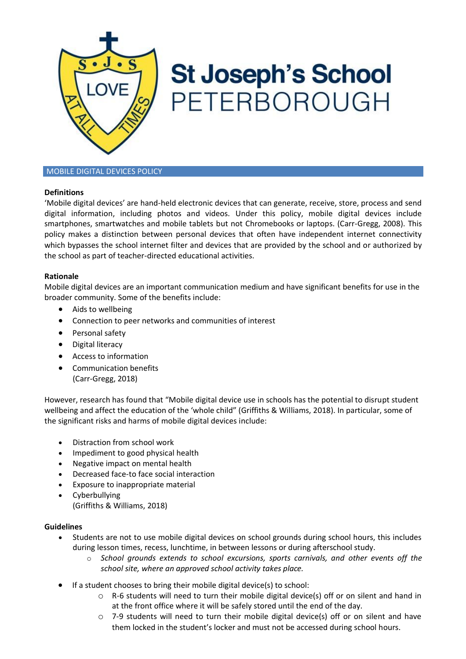

# **St Joseph's School** PETERBOROUGH

# MOBILE DIGITAL DEVICES POLICY

# **Definitions**

'Mobile digital devices' are hand-held electronic devices that can generate, receive, store, process and send digital information, including photos and videos. Under this policy, mobile digital devices include smartphones, smartwatches and mobile tablets but not Chromebooks or laptops. (Carr-Gregg, 2008). This policy makes a distinction between personal devices that often have independent internet connectivity which bypasses the school internet filter and devices that are provided by the school and or authorized by the school as part of teacher-directed educational activities.

## **Rationale**

Mobile digital devices are an important communication medium and have significant benefits for use in the broader community. Some of the benefits include:

- Aids to wellbeing
- Connection to peer networks and communities of interest
- Personal safety
- Digital literacy
- Access to information
- Communication benefits (Carr-Gregg, 2018)

However, research has found that "Mobile digital device use in schools has the potential to disrupt student wellbeing and affect the education of the 'whole child" (Griffiths & Williams, 2018). In particular, some of the significant risks and harms of mobile digital devices include:

- Distraction from school work
- Impediment to good physical health
- Negative impact on mental health
- Decreased face-to face social interaction
- Exposure to inappropriate material
- Cyberbullying (Griffiths & Williams, 2018)

## **Guidelines**

- Students are not to use mobile digital devices on school grounds during school hours, this includes during lesson times, recess, lunchtime, in between lessons or during afterschool study.
	- o *School grounds extends to school excursions, sports carnivals, and other events off the school site, where an approved school activity takes place.*
- If a student chooses to bring their mobile digital device(s) to school:
	- o R-6 students will need to turn their mobile digital device(s) off or on silent and hand in at the front office where it will be safely stored until the end of the day.
	- $\circ$  7-9 students will need to turn their mobile digital device(s) off or on silent and have them locked in the student's locker and must not be accessed during school hours.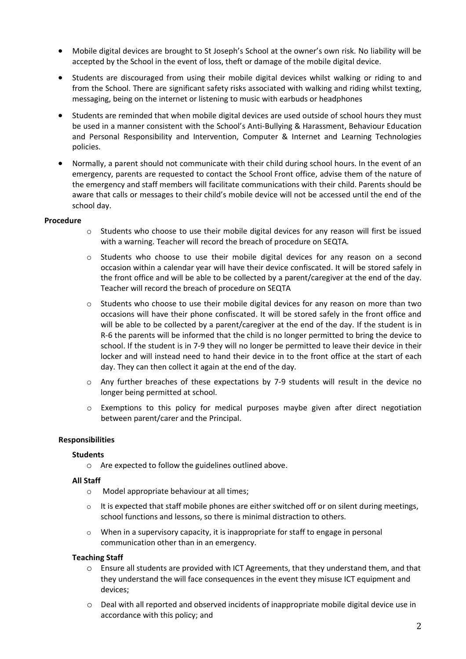- Mobile digital devices are brought to St Joseph's School at the owner's own risk. No liability will be accepted by the School in the event of loss, theft or damage of the mobile digital device.
- Students are discouraged from using their mobile digital devices whilst walking or riding to and from the School. There are significant safety risks associated with walking and riding whilst texting, messaging, being on the internet or listening to music with earbuds or headphones
- Students are reminded that when mobile digital devices are used outside of school hours they must be used in a manner consistent with the School's Anti-Bullying & Harassment, Behaviour Education and Personal Responsibility and Intervention, Computer & Internet and Learning Technologies policies.
- Normally, a parent should not communicate with their child during school hours. In the event of an emergency, parents are requested to contact the School Front office, advise them of the nature of the emergency and staff members will facilitate communications with their child. Parents should be aware that calls or messages to their child's mobile device will not be accessed until the end of the school day.

## **Procedure**

- o Students who choose to use their mobile digital devices for any reason will first be issued with a warning. Teacher will record the breach of procedure on SEQTA.
- o Students who choose to use their mobile digital devices for any reason on a second occasion within a calendar year will have their device confiscated. It will be stored safely in the front office and will be able to be collected by a parent/caregiver at the end of the day. Teacher will record the breach of procedure on SEQTA
- o Students who choose to use their mobile digital devices for any reason on more than two occasions will have their phone confiscated. It will be stored safely in the front office and will be able to be collected by a parent/caregiver at the end of the day. If the student is in R-6 the parents will be informed that the child is no longer permitted to bring the device to school. If the student is in 7-9 they will no longer be permitted to leave their device in their locker and will instead need to hand their device in to the front office at the start of each day. They can then collect it again at the end of the day.
- o Any further breaches of these expectations by 7-9 students will result in the device no longer being permitted at school.
- $\circ$  Exemptions to this policy for medical purposes maybe given after direct negotiation between parent/carer and the Principal.

## **Responsibilities**

#### **Students**

o Are expected to follow the guidelines outlined above.

#### **All Staff**

- o Model appropriate behaviour at all times;
- $\circ$  It is expected that staff mobile phones are either switched off or on silent during meetings, school functions and lessons, so there is minimal distraction to others.
- $\circ$  When in a supervisory capacity, it is inappropriate for staff to engage in personal communication other than in an emergency.

#### **Teaching Staff**

- o Ensure all students are provided with ICT Agreements, that they understand them, and that they understand the will face consequences in the event they misuse ICT equipment and devices;
- o Deal with all reported and observed incidents of inappropriate mobile digital device use in accordance with this policy; and